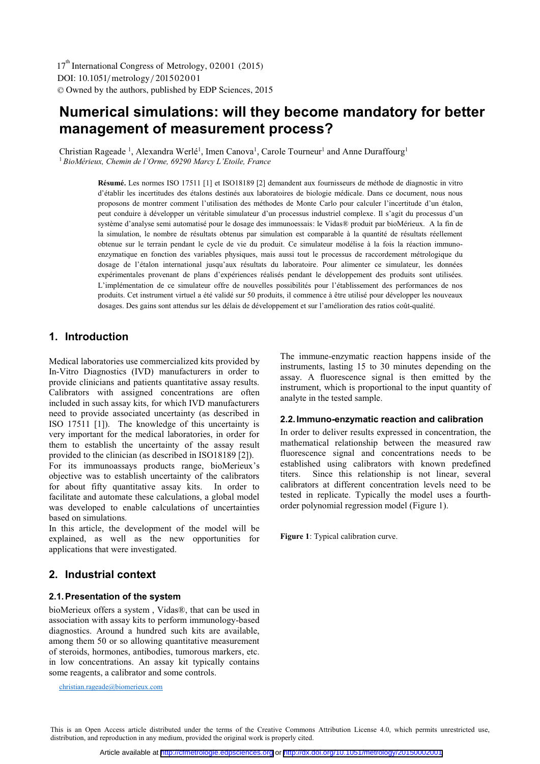DOI: 10.1051/metrology/201502001 -<sup>C</sup> Owned by the authors, published by EDP Sciences, 2015 17<sup>th</sup> International Congress of Metrology, 02001 (2015)

# **Numerical simulations: will they become mandatory for better management of measurement process?**

Christian Rageade<sup>1</sup>, Alexandra Werlé<sup>1</sup>, Imen Canova<sup>1</sup>, Carole Tourneur<sup>1</sup> and Anne Duraffourg<sup>1</sup> <sup>1</sup>*BioMérieux, Chemin de l'Orme, 69290 Marcy L'Etoile, France*

> **Résumé.** Les normes ISO 17511 [1] et ISO18189 [2] demandent aux fournisseurs de méthode de diagnostic in vitro d'établir les incertitudes des étalons destinés aux laboratoires de biologie médicale. Dans ce document, nous nous proposons de montrer comment l'utilisation des méthodes de Monte Carlo pour calculer l'incertitude d'un étalon, peut conduire à développer un véritable simulateur d'un processus industriel complexe. Il s'agit du processus d'un système d'analyse semi automatisé pour le dosage des immunoessais: le Vidas® produit par bioMérieux. A la fin de la simulation, le nombre de résultats obtenus par simulation est comparable à la quantité de résultats réellement obtenue sur le terrain pendant le cycle de vie du produit. Ce simulateur modélise à la fois la réaction immunoenzymatique en fonction des variables physiques, mais aussi tout le processus de raccordement métrologique du dosage de l'étalon international jusqu'aux résultats du laboratoire. Pour alimenter ce simulateur, les données expérimentales provenant de plans d'expériences réalisés pendant le développement des produits sont utilisées. L'implémentation de ce simulateur offre de nouvelles possibilités pour l'établissement des performances de nos produits. Cet instrument virtuel a été validé sur 50 produits, il commence à être utilisé pour développer les nouveaux dosages. Des gains sont attendus sur les délais de développement et sur l'amélioration des ratios coût-qualité.

# **1. Introduction**

Medical laboratories use commercialized kits provided by In-Vitro Diagnostics (IVD) manufacturers in order to provide clinicians and patients quantitative assay results. Calibrators with assigned concentrations are often included in such assay kits, for which IVD manufacturers need to provide associated uncertainty (as described in ISO 17511 [1]). The knowledge of this uncertainty is very important for the medical laboratories, in order for them to establish the uncertainty of the assay result provided to the clinician (as described in ISO18189 [2]). For its immunoassays products range, bioMerieux's objective was to establish uncertainty of the calibrators

for about fifty quantitative assay kits. In order to facilitate and automate these calculations, a global model was developed to enable calculations of uncertainties based on simulations.

In this article, the development of the model will be explained, as well as the new opportunities for applications that were investigated.

# **2. Industrial context**

### **2.1. Presentation of the system**

bioMerieux offers a system , Vidas®, that can be used in association with assay kits to perform immunology-based diagnostics. Around a hundred such kits are available, among them 50 or so allowing quantitative measurement of steroids, hormones, antibodies, tumorous markers, etc. in low concentrations. An assay kit typically contains some reagents, a calibrator and some controls.

christian.rageade@biomerieux.com

The immune-enzymatic reaction happens inside of the instruments, lasting 15 to 30 minutes depending on the assay. A fluorescence signal is then emitted by the instrument, which is proportional to the input quantity of analyte in the tested sample.

#### **2.2. Immuno-enzymatic reaction and calibration**

In order to deliver results expressed in concentration, the mathematical relationship between the measured raw fluorescence signal and concentrations needs to be established using calibrators with known predefined titers. Since this relationship is not linear, several calibrators at different concentration levels need to be tested in replicate. Typically the model uses a fourthorder polynomial regression model (Figure 1).

**Figure 1**: Typical calibration curve.

This is an Open Access article distributed under the terms of the Creative Commons Attribution License 4.0, which permits unrestricted use, distribution, and reproduction in any medium, provided the original work is properly cited.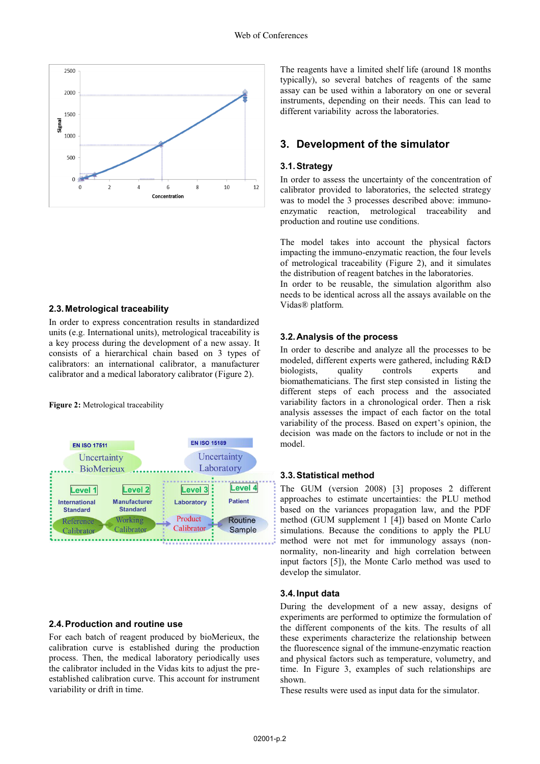

#### **2.3. Metrological traceability**

In order to express concentration results in standardized units (e.g. International units), metrological traceability is a key process during the development of a new assay. It consists of a hierarchical chain based on 3 types of calibrators: an international calibrator, a manufacturer calibrator and a medical laboratory calibrator (Figure 2).

#### **Figure 2:** Metrological traceability



## **2.4. Production and routine use**

For each batch of reagent produced by bioMerieux, the calibration curve is established during the production process. Then, the medical laboratory periodically uses the calibrator included in the Vidas kits to adjust the preestablished calibration curve. This account for instrument variability or drift in time.

The reagents have a limited shelf life (around 18 months typically), so several batches of reagents of the same assay can be used within a laboratory on one or several instruments, depending on their needs. This can lead to different variability across the laboratories.

# **3. Development of the simulator**

#### **3.1. Strategy**

In order to assess the uncertainty of the concentration of calibrator provided to laboratories, the selected strategy was to model the 3 processes described above: immunoenzymatic reaction, metrological traceability and production and routine use conditions.

The model takes into account the physical factors impacting the immuno-enzymatic reaction, the four levels of metrological traceability (Figure 2), and it simulates the distribution of reagent batches in the laboratories.

In order to be reusable, the simulation algorithm also needs to be identical across all the assays available on the Vidas® platform.

#### **3.2. Analysis of the process**

In order to describe and analyze all the processes to be modeled, different experts were gathered, including R&D biologists, quality controls experts and biomathematicians. The first step consisted in listing the different steps of each process and the associated variability factors in a chronological order. Then a risk analysis assesses the impact of each factor on the total variability of the process. Based on expert's opinion, the decision was made on the factors to include or not in the model.

#### **3.3. Statistical method**

The GUM (version 2008) [3] proposes 2 different approaches to estimate uncertainties: the PLU method based on the variances propagation law, and the PDF method (GUM supplement 1 [4]) based on Monte Carlo simulations. Because the conditions to apply the PLU method were not met for immunology assays (nonnormality, non-linearity and high correlation between input factors [5]), the Monte Carlo method was used to develop the simulator.

#### **3.4. Input data**

During the development of a new assay, designs of experiments are performed to optimize the formulation of the different components of the kits. The results of all these experiments characterize the relationship between the fluorescence signal of the immune-enzymatic reaction and physical factors such as temperature, volumetry, and time. In Figure 3, examples of such relationships are shown.

These results were used as input data for the simulator.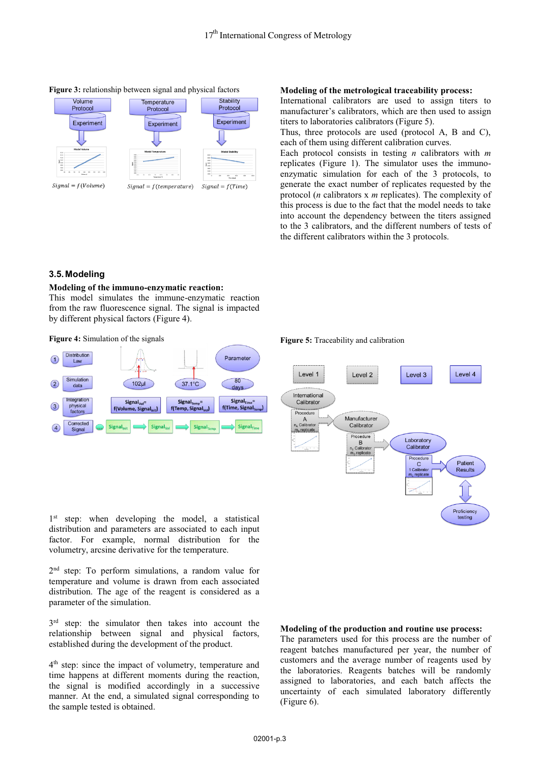

#### **Figure 3:** relationship between signal and physical factors

### **Modeling of the metrological traceability process:**

International calibrators are used to assign titers to manufacturer's calibrators, which are then used to assign titers to laboratories calibrators (Figure 5).

Thus, three protocols are used (protocol A, B and C), each of them using different calibration curves.

Each protocol consists in testing *n* calibrators with *m* replicates (Figure 1). The simulator uses the immunoenzymatic simulation for each of the 3 protocols, to generate the exact number of replicates requested by the protocol (*n* calibrators x *m* replicates). The complexity of this process is due to the fact that the model needs to take into account the dependency between the titers assigned to the 3 calibrators, and the different numbers of tests of the different calibrators within the 3 protocols.

# **3.5. Modeling**

#### **Modeling of the immuno-enzymatic reaction:**

This model simulates the immune-enzymatic reaction from the raw fluorescence signal. The signal is impacted by different physical factors (Figure 4).

**Figure 4:** Simulation of the signals



**Figure 5:** Traceability and calibration



1<sup>st</sup> step: when developing the model, a statistical distribution and parameters are associated to each input factor. For example, normal distribution for the volumetry, arcsine derivative for the temperature.

2nd step: To perform simulations, a random value for temperature and volume is drawn from each associated distribution. The age of the reagent is considered as a parameter of the simulation.

 $3<sup>rd</sup>$  step: the simulator then takes into account the relationship between signal and physical factors, established during the development of the product.

4<sup>th</sup> step: since the impact of volumetry, temperature and time happens at different moments during the reaction, the signal is modified accordingly in a successive manner. At the end, a simulated signal corresponding to the sample tested is obtained.

#### **Modeling of the production and routine use process:**

The parameters used for this process are the number of reagent batches manufactured per year, the number of customers and the average number of reagents used by the laboratories. Reagents batches will be randomly assigned to laboratories, and each batch affects the uncertainty of each simulated laboratory differently (Figure 6).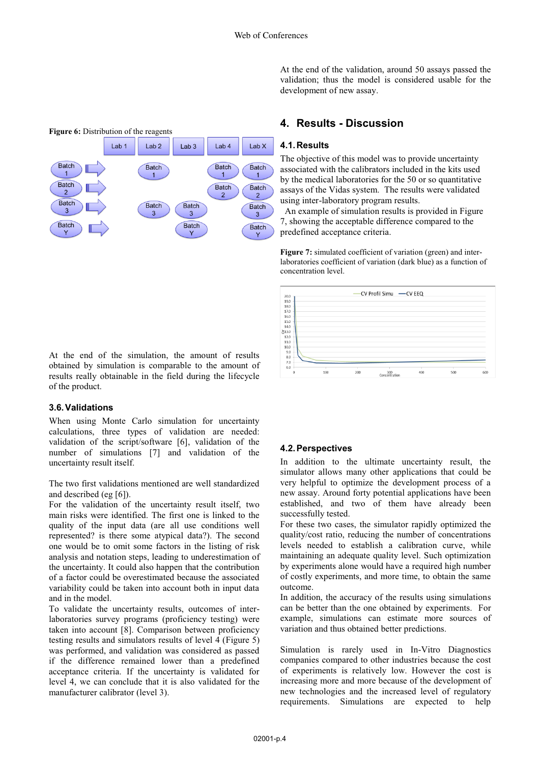At the end of the validation, around 50 assays passed the validation; thus the model is considered usable for the development of new assay.



# **4. Results - Discussion**

### **4.1. Results**

The objective of this model was to provide uncertainty associated with the calibrators included in the kits used by the medical laboratories for the 50 or so quantitative assays of the Vidas system. The results were validated using inter-laboratory program results.

An example of simulation results is provided in Figure 7, showing the acceptable difference compared to the predefined acceptance criteria.

**Figure 7:** simulated coefficient of variation (green) and interlaboratories coefficient of variation (dark blue) as a function of concentration level.



At the end of the simulation, the amount of results obtained by simulation is comparable to the amount of results really obtainable in the field during the lifecycle of the product.

#### **3.6. Validations**

When using Monte Carlo simulation for uncertainty calculations, three types of validation are needed: validation of the script/software [6], validation of the number of simulations [7] and validation of the uncertainty result itself.

The two first validations mentioned are well standardized and described (eg [6]).

For the validation of the uncertainty result itself, two main risks were identified. The first one is linked to the quality of the input data (are all use conditions well represented? is there some atypical data?). The second one would be to omit some factors in the listing of risk analysis and notation steps, leading to underestimation of the uncertainty. It could also happen that the contribution of a factor could be overestimated because the associated variability could be taken into account both in input data and in the model.

To validate the uncertainty results, outcomes of interlaboratories survey programs (proficiency testing) were taken into account [8]. Comparison between proficiency testing results and simulators results of level 4 (Figure 5) was performed, and validation was considered as passed if the difference remained lower than a predefined acceptance criteria. If the uncertainty is validated for level 4, we can conclude that it is also validated for the manufacturer calibrator (level 3).

#### **4.2. Perspectives**

In addition to the ultimate uncertainty result, the simulator allows many other applications that could be very helpful to optimize the development process of a new assay. Around forty potential applications have been established, and two of them have already been successfully tested.

For these two cases, the simulator rapidly optimized the quality/cost ratio, reducing the number of concentrations levels needed to establish a calibration curve, while maintaining an adequate quality level. Such optimization by experiments alone would have a required high number of costly experiments, and more time, to obtain the same outcome.

In addition, the accuracy of the results using simulations can be better than the one obtained by experiments. For example, simulations can estimate more sources of variation and thus obtained better predictions.

Simulation is rarely used in In-Vitro Diagnostics companies compared to other industries because the cost of experiments is relatively low. However the cost is increasing more and more because of the development of new technologies and the increased level of regulatory requirements. Simulations are expected to help